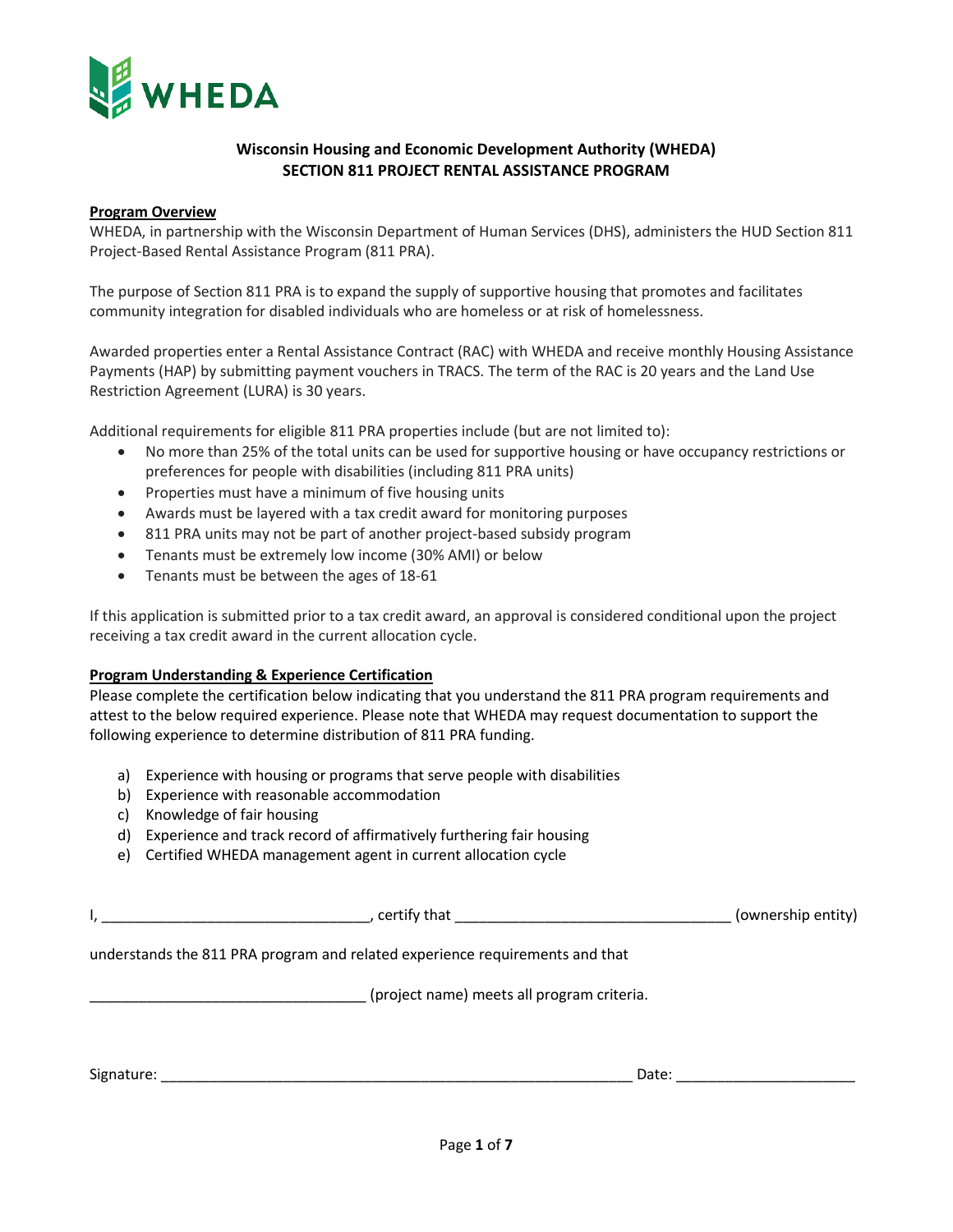

# **Wisconsin Housing and Economic Development Authority (WHEDA) SECTION 811 PROJECT RENTAL ASSISTANCE PROGRAM**

### **Program Overview**

WHEDA, in partnership with the Wisconsin Department of Human Services (DHS), administers the HUD Section 811 Project-Based Rental Assistance Program (811 PRA).

The purpose of Section 811 PRA is to expand the supply of supportive housing that promotes and facilitates community integration for disabled individuals who are homeless or at risk of homelessness.

Awarded properties enter a Rental Assistance Contract (RAC) with WHEDA and receive monthly Housing Assistance Payments (HAP) by submitting payment vouchers in TRACS. The term of the RAC is 20 years and the Land Use Restriction Agreement (LURA) is 30 years.

Additional requirements for eligible 811 PRA properties include (but are not limited to):

- No more than 25% of the total units can be used for supportive housing or have occupancy restrictions or preferences for people with disabilities (including 811 PRA units)
- Properties must have a minimum of five housing units
- Awards must be layered with a tax credit award for monitoring purposes
- 811 PRA units may not be part of another project-based subsidy program
- Tenants must be extremely low income (30% AMI) or below
- Tenants must be between the ages of 18-61

If this application is submitted prior to a tax credit award, an approval is considered conditional upon the project receiving a tax credit award in the current allocation cycle.

### **Program Understanding & Experience Certification**

Please complete the certification below indicating that you understand the 811 PRA program requirements and attest to the below required experience. Please note that WHEDA may request documentation to support the following experience to determine distribution of 811 PRA funding.

- a) Experience with housing or programs that serve people with disabilities
- b) Experience with reasonable accommodation
- c) Knowledge of fair housing
- d) Experience and track record of affirmatively furthering fair housing
- e) Certified WHEDA management agent in current allocation cycle

|                                            |                                                                              | (ownership entity) |  |  |  |
|--------------------------------------------|------------------------------------------------------------------------------|--------------------|--|--|--|
|                                            | understands the 811 PRA program and related experience requirements and that |                    |  |  |  |
| (project name) meets all program criteria. |                                                                              |                    |  |  |  |
|                                            |                                                                              | Date:              |  |  |  |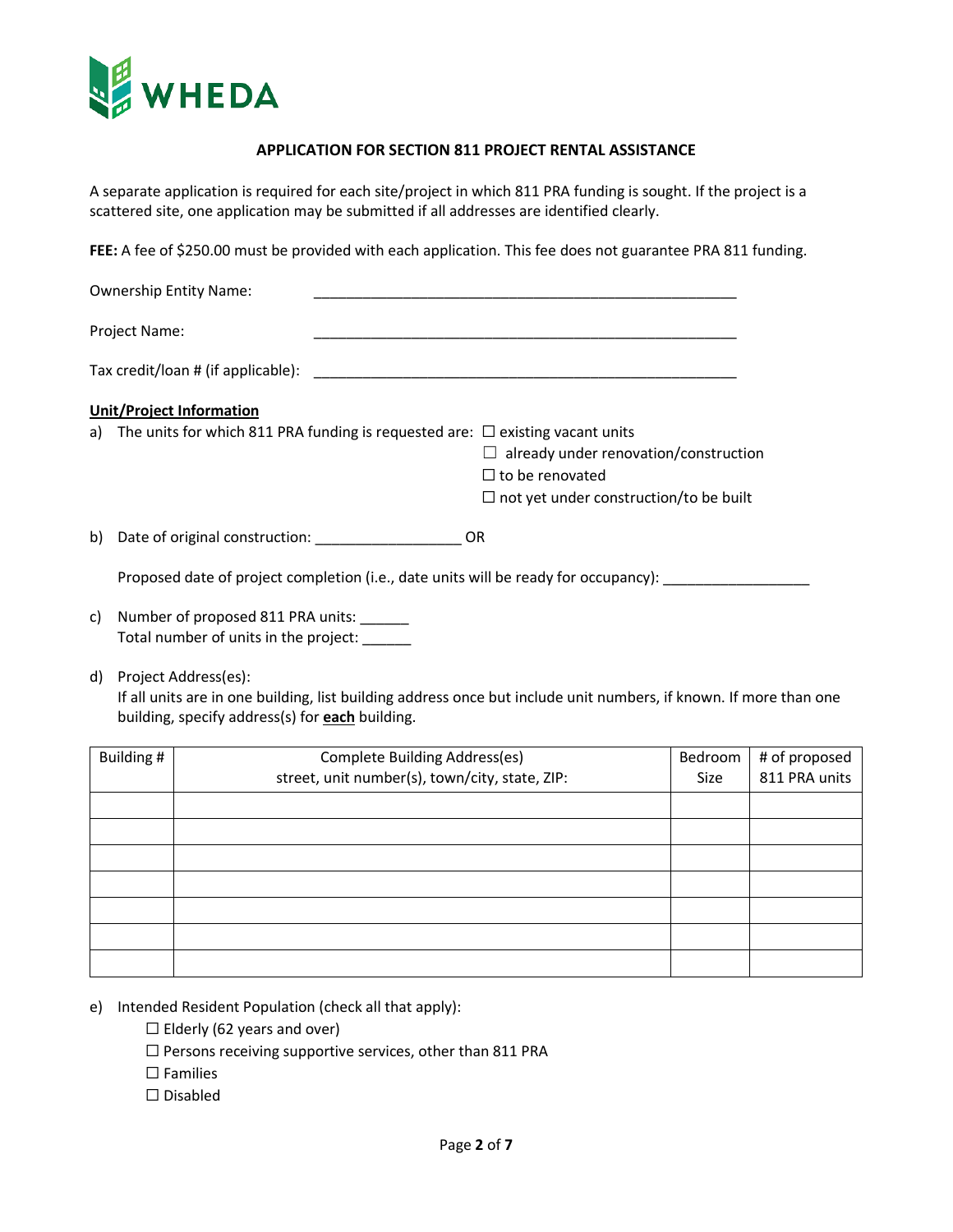

## **APPLICATION FOR SECTION 811 PROJECT RENTAL ASSISTANCE**

A separate application is required for each site/project in which 811 PRA funding is sought. If the project is a scattered site, one application may be submitted if all addresses are identified clearly.

**FEE:** A fee of \$250.00 must be provided with each application. This fee does not guarantee PRA 811 funding.

| <b>Ownership Entity Name:</b>        |                                                                                                                 |  |
|--------------------------------------|-----------------------------------------------------------------------------------------------------------------|--|
| <b>Project Name:</b>                 |                                                                                                                 |  |
|                                      | Tax credit/loan # (if applicable): The state of the state of the state of the state of the state of the state o |  |
| <b>Unit/Project Information</b>      |                                                                                                                 |  |
|                                      | a) The units for which 811 PRA funding is requested are: $\Box$ existing vacant units                           |  |
|                                      | $\Box$ already under renovation/construction                                                                    |  |
|                                      | $\Box$ to be renovated                                                                                          |  |
|                                      | $\Box$ not yet under construction/to be built                                                                   |  |
| b) Date of original construction: OR |                                                                                                                 |  |
|                                      | Proposed date of project completion (i.e., date units will be ready for occupancy):                             |  |

- c) Number of proposed 811 PRA units: \_\_\_\_\_\_ Total number of units in the project: \_\_\_\_\_\_
- d) Project Address(es):

If all units are in one building, list building address once but include unit numbers, if known. If more than one building, specify address(s) for **each** building.

| Building # | Complete Building Address(es)<br>street, unit number(s), town/city, state, ZIP: | Bedroom<br><b>Size</b> | # of proposed<br>811 PRA units |
|------------|---------------------------------------------------------------------------------|------------------------|--------------------------------|
|            |                                                                                 |                        |                                |
|            |                                                                                 |                        |                                |
|            |                                                                                 |                        |                                |
|            |                                                                                 |                        |                                |
|            |                                                                                 |                        |                                |
|            |                                                                                 |                        |                                |
|            |                                                                                 |                        |                                |
|            |                                                                                 |                        |                                |

- e) Intended Resident Population (check all that apply):
	- $\Box$  Elderly (62 years and over)
	- $\Box$  Persons receiving supportive services, other than 811 PRA
	- □ Families
	- ☐ Disabled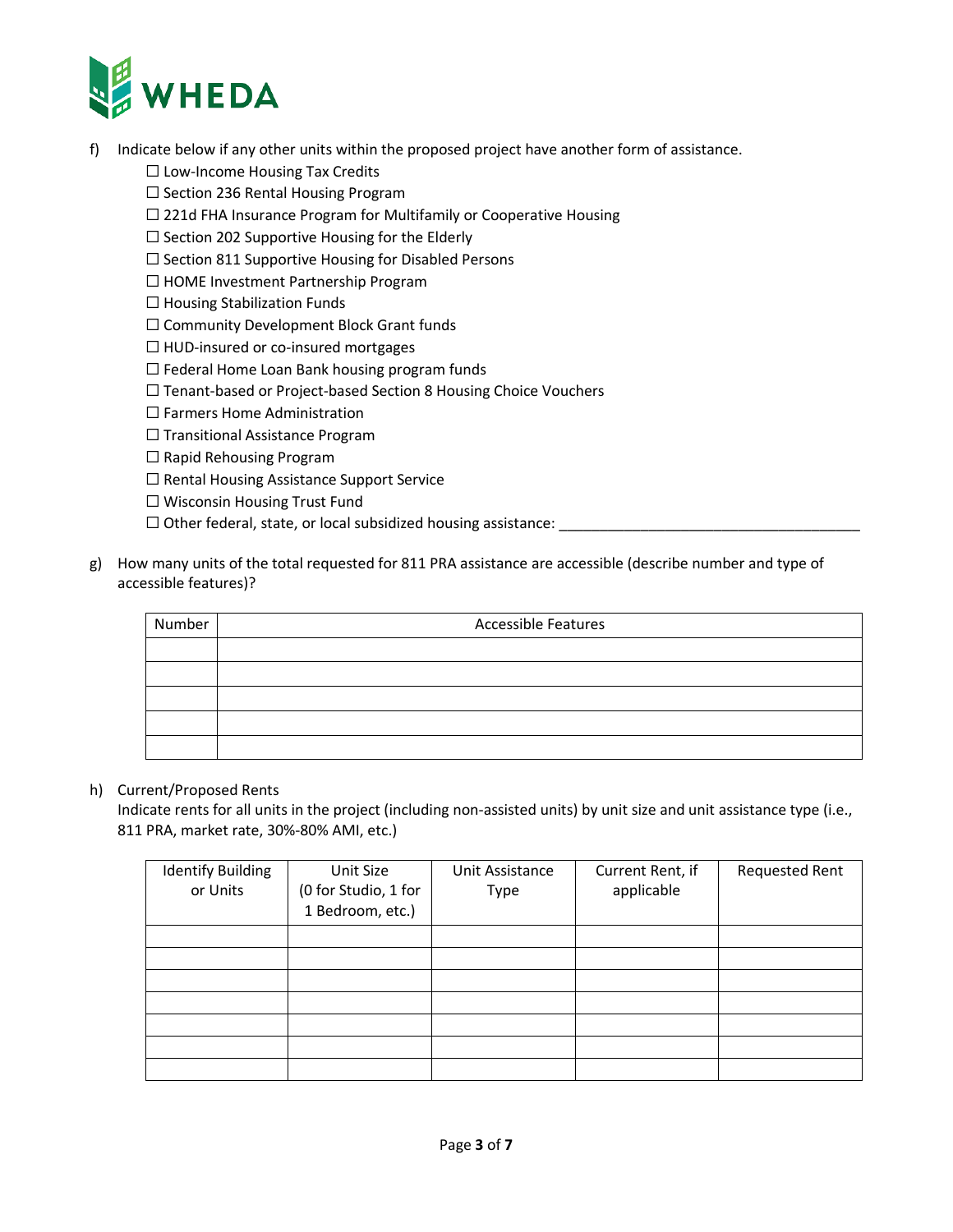

- f) Indicate below if any other units within the proposed project have another form of assistance.
	- ☐ Low-Income Housing Tax Credits
	- ☐ Section 236 Rental Housing Program
	- □ 221d FHA Insurance Program for Multifamily or Cooperative Housing
	- ☐ Section 202 Supportive Housing for the Elderly
	- ☐ Section 811 Supportive Housing for Disabled Persons
	- ☐ HOME Investment Partnership Program
	- $\Box$  Housing Stabilization Funds
	- ☐ Community Development Block Grant funds
	- ☐ HUD-insured or co-insured mortgages
	- $\Box$  Federal Home Loan Bank housing program funds
	- ☐ Tenant-based or Project-based Section 8 Housing Choice Vouchers
	- ☐ Farmers Home Administration
	- □ Transitional Assistance Program
	- □ Rapid Rehousing Program
	- ☐ Rental Housing Assistance Support Service
	- ☐ Wisconsin Housing Trust Fund
	- $\Box$  Other federal, state, or local subsidized housing assistance:
- g) How many units of the total requested for 811 PRA assistance are accessible (describe number and type of accessible features)?

| Number | <b>Accessible Features</b> |  |  |  |
|--------|----------------------------|--|--|--|
|        |                            |  |  |  |
|        |                            |  |  |  |
|        |                            |  |  |  |
|        |                            |  |  |  |
|        |                            |  |  |  |

## h) Current/Proposed Rents

Indicate rents for all units in the project (including non-assisted units) by unit size and unit assistance type (i.e., 811 PRA, market rate, 30%-80% AMI, etc.)

| <b>Identify Building</b><br>or Units | Unit Size<br>(0 for Studio, 1 for<br>1 Bedroom, etc.) | Unit Assistance<br>Type | Current Rent, if<br>applicable | <b>Requested Rent</b> |
|--------------------------------------|-------------------------------------------------------|-------------------------|--------------------------------|-----------------------|
|                                      |                                                       |                         |                                |                       |
|                                      |                                                       |                         |                                |                       |
|                                      |                                                       |                         |                                |                       |
|                                      |                                                       |                         |                                |                       |
|                                      |                                                       |                         |                                |                       |
|                                      |                                                       |                         |                                |                       |
|                                      |                                                       |                         |                                |                       |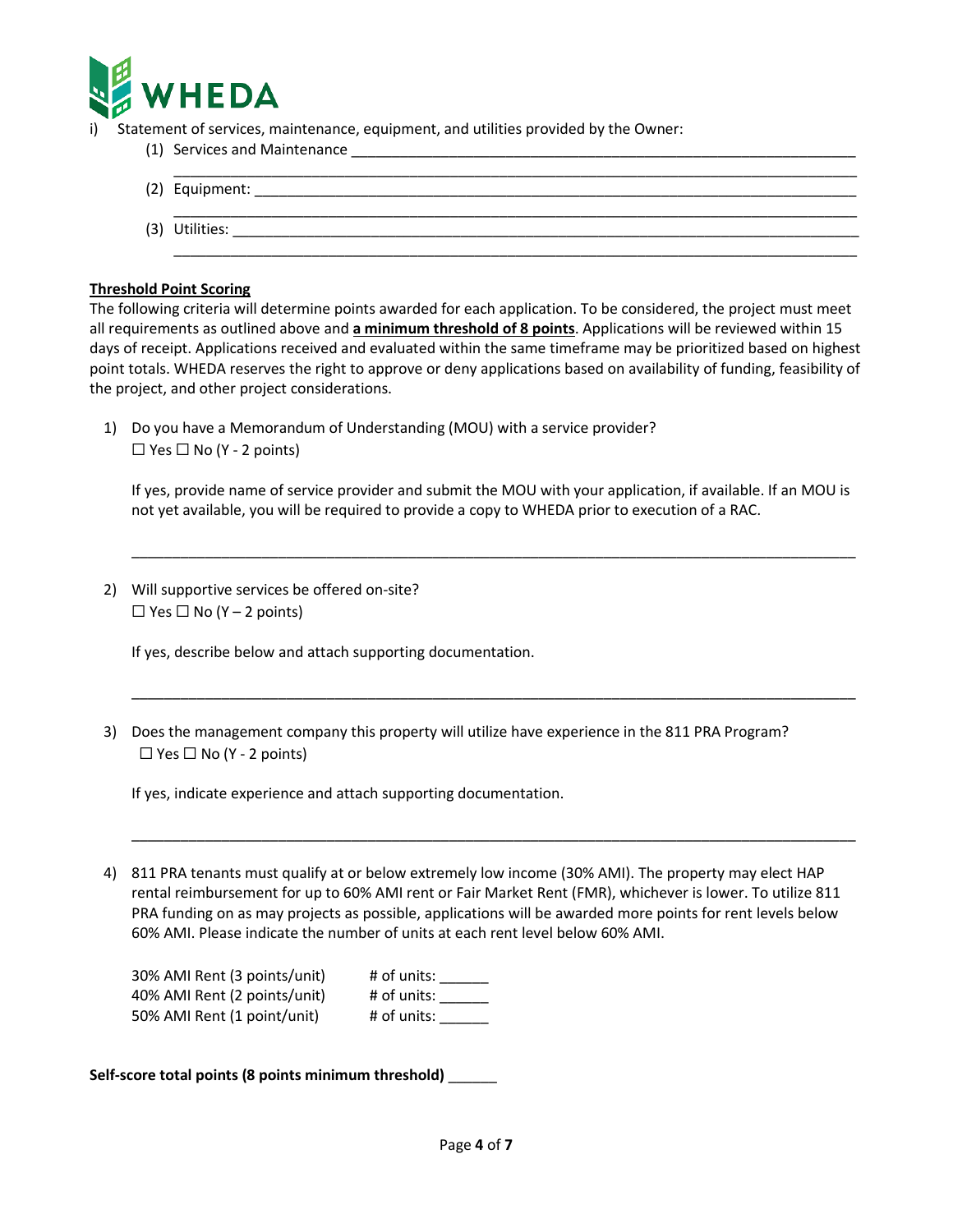

Statement of services, maintenance, equipment, and utilities provided by the Owner:

(1) Services and Maintenance

| (2) Equipment: |
|----------------|
| (3) Utilities: |

#### **Threshold Point Scoring**

The following criteria will determine points awarded for each application. To be considered, the project must meet all requirements as outlined above and **a minimum threshold of 8 points**. Applications will be reviewed within 15 days of receipt. Applications received and evaluated within the same timeframe may be prioritized based on highest point totals. WHEDA reserves the right to approve or deny applications based on availability of funding, feasibility of the project, and other project considerations.

1) Do you have a Memorandum of Understanding (MOU) with a service provider?  $\Box$  Yes  $\Box$  No (Y - 2 points)

If yes, provide name of service provider and submit the MOU with your application, if available. If an MOU is not yet available, you will be required to provide a copy to WHEDA prior to execution of a RAC.

\_\_\_\_\_\_\_\_\_\_\_\_\_\_\_\_\_\_\_\_\_\_\_\_\_\_\_\_\_\_\_\_\_\_\_\_\_\_\_\_\_\_\_\_\_\_\_\_\_\_\_\_\_\_\_\_\_\_\_\_\_\_\_\_\_\_\_\_\_\_\_\_\_\_\_\_\_\_\_\_\_\_\_\_\_\_\_\_\_

\_\_\_\_\_\_\_\_\_\_\_\_\_\_\_\_\_\_\_\_\_\_\_\_\_\_\_\_\_\_\_\_\_\_\_\_\_\_\_\_\_\_\_\_\_\_\_\_\_\_\_\_\_\_\_\_\_\_\_\_\_\_\_\_\_\_\_\_\_\_\_\_\_\_\_\_\_\_\_\_\_\_\_\_\_\_\_\_\_

\_\_\_\_\_\_\_\_\_\_\_\_\_\_\_\_\_\_\_\_\_\_\_\_\_\_\_\_\_\_\_\_\_\_\_\_\_\_\_\_\_\_\_\_\_\_\_\_\_\_\_\_\_\_\_\_\_\_\_\_\_\_\_\_\_\_\_\_\_\_\_\_\_\_\_\_\_\_\_\_\_\_\_\_\_\_\_\_\_

2) Will supportive services be offered on-site?  $\Box$  Yes  $\Box$  No (Y – 2 points)

If yes, describe below and attach supporting documentation.

3) Does the management company this property will utilize have experience in the 811 PRA Program?  $\Box$  Yes  $\Box$  No (Y - 2 points)

If yes, indicate experience and attach supporting documentation.

4) 811 PRA tenants must qualify at or below extremely low income (30% AMI). The property may elect HAP rental reimbursement for up to 60% AMI rent or Fair Market Rent (FMR), whichever is lower. To utilize 811 PRA funding on as may projects as possible, applications will be awarded more points for rent levels below 60% AMI. Please indicate the number of units at each rent level below 60% AMI.

| 30% AMI Rent (3 points/unit) | # of units: |
|------------------------------|-------------|
| 40% AMI Rent (2 points/unit) | # of units: |
| 50% AMI Rent (1 point/unit)  | # of units: |

**Self-score total points (8 points minimum threshold)** \_\_\_\_\_\_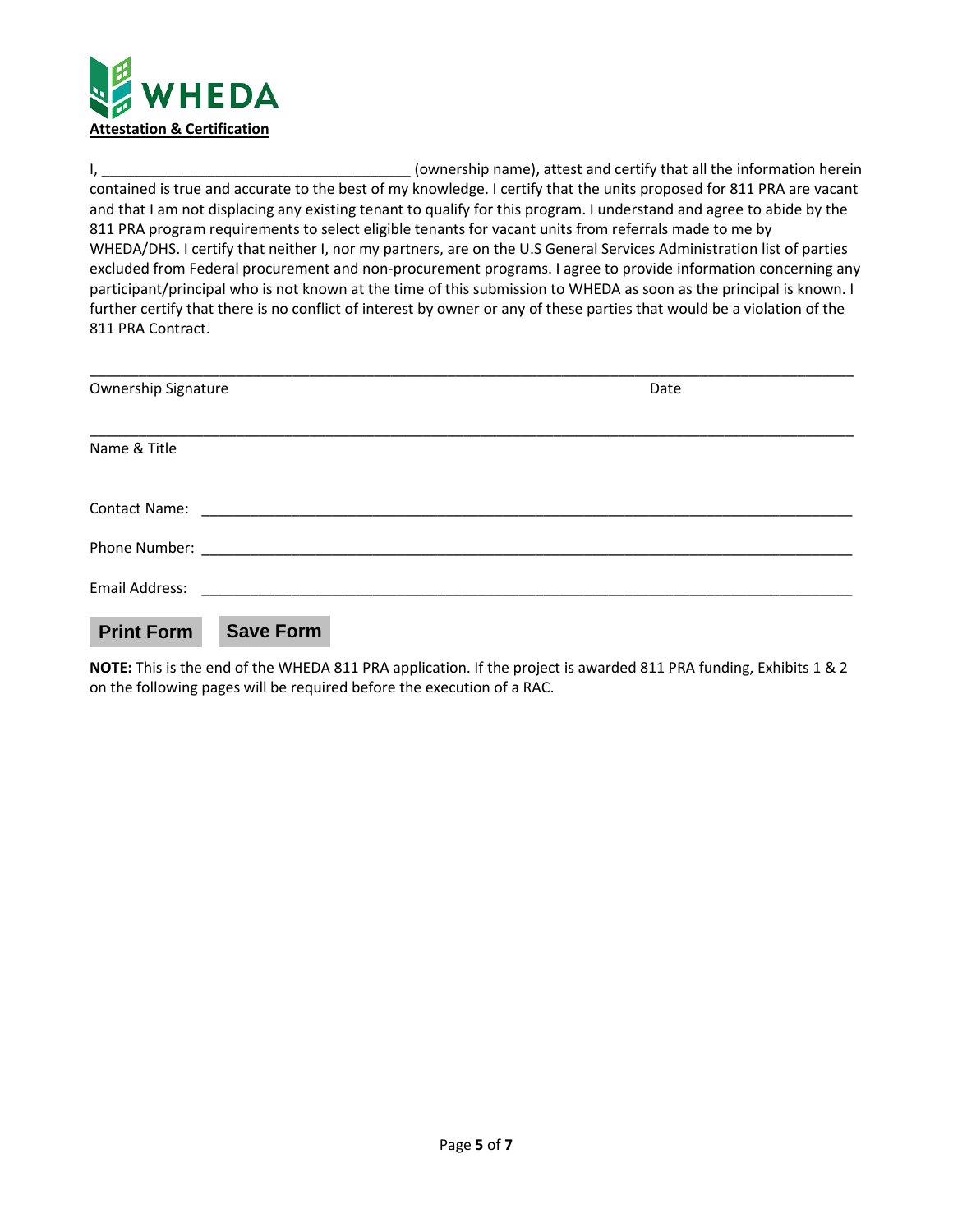

I, \_\_\_\_\_\_\_\_\_\_\_\_\_\_\_\_\_\_\_\_\_\_\_\_\_\_\_\_\_\_\_\_\_\_\_\_\_\_ (ownership name), attest and certify that all the information herein contained is true and accurate to the best of my knowledge. I certify that the units proposed for 811 PRA are vacant and that I am not displacing any existing tenant to qualify for this program. I understand and agree to abide by the 811 PRA program requirements to select eligible tenants for vacant units from referrals made to me by WHEDA/DHS. I certify that neither I, nor my partners, are on the U.S General Services Administration list of parties excluded from Federal procurement and non-procurement programs. I agree to provide information concerning any participant/principal who is not known at the time of this submission to WHEDA as soon as the principal is known. I further certify that there is no conflict of interest by owner or any of these parties that would be a violation of the 811 PRA Contract.

| Ownership Signature  |                  |  | Date |
|----------------------|------------------|--|------|
| Name & Title         |                  |  |      |
| <b>Contact Name:</b> |                  |  |      |
|                      |                  |  |      |
| Email Address:       |                  |  |      |
| <b>Print Form</b>    | <b>Save Form</b> |  |      |

**NOTE:** This is the end of the WHEDA 811 PRA application. If the project is awarded 811 PRA funding, Exhibits 1 & 2 on the following pages will be required before the execution of a RAC.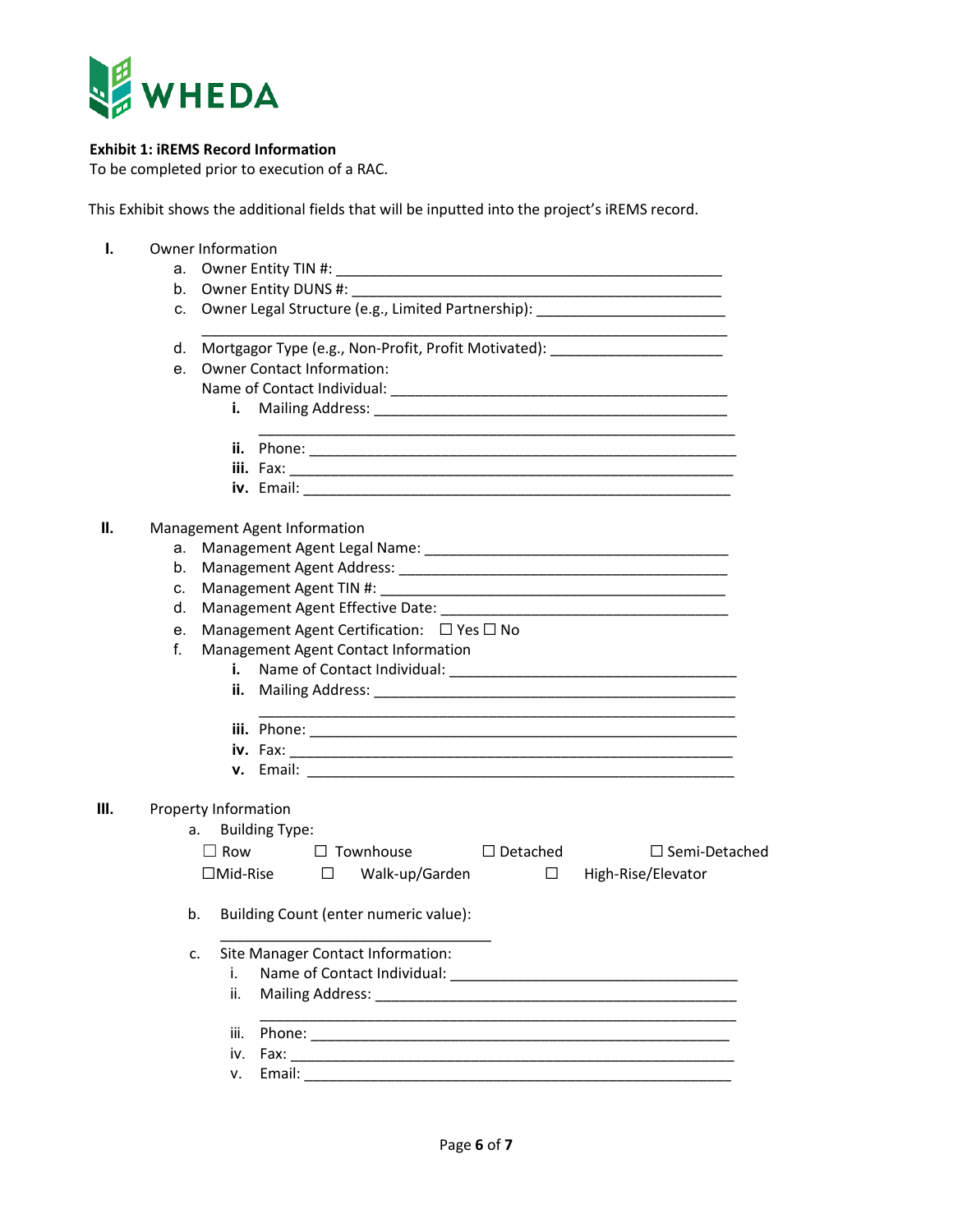

# **Exhibit 1: iREMS Record Information**

To be completed prior to execution of a RAC.

This Exhibit shows the additional fields that will be inputted into the project's iREMS record.

| I. |    | <b>Owner Information</b>                                                         |                       |  |                                       |  |                                                                                                                                                                                                                                |                                                                                  |  |
|----|----|----------------------------------------------------------------------------------|-----------------------|--|---------------------------------------|--|--------------------------------------------------------------------------------------------------------------------------------------------------------------------------------------------------------------------------------|----------------------------------------------------------------------------------|--|
|    |    | а.                                                                               |                       |  |                                       |  |                                                                                                                                                                                                                                |                                                                                  |  |
|    |    |                                                                                  |                       |  |                                       |  |                                                                                                                                                                                                                                |                                                                                  |  |
|    |    | c. Owner Legal Structure (e.g., Limited Partnership): __________________________ |                       |  |                                       |  |                                                                                                                                                                                                                                |                                                                                  |  |
|    |    |                                                                                  |                       |  |                                       |  |                                                                                                                                                                                                                                | d. Mortgagor Type (e.g., Non-Profit, Profit Motivated): ________________________ |  |
|    | e. | <b>Owner Contact Information:</b>                                                |                       |  |                                       |  |                                                                                                                                                                                                                                |                                                                                  |  |
|    |    |                                                                                  |                       |  |                                       |  |                                                                                                                                                                                                                                |                                                                                  |  |
|    |    | i.                                                                               |                       |  |                                       |  |                                                                                                                                                                                                                                | Mailing Address: Mailing Address: Mailing Address: Mailing Address: Mail 2014    |  |
|    |    |                                                                                  |                       |  |                                       |  |                                                                                                                                                                                                                                |                                                                                  |  |
|    |    |                                                                                  |                       |  |                                       |  |                                                                                                                                                                                                                                |                                                                                  |  |
|    |    |                                                                                  |                       |  |                                       |  |                                                                                                                                                                                                                                |                                                                                  |  |
| Ш. |    | Management Agent Information                                                     |                       |  |                                       |  |                                                                                                                                                                                                                                |                                                                                  |  |
|    | а. |                                                                                  |                       |  |                                       |  |                                                                                                                                                                                                                                |                                                                                  |  |
|    | b. |                                                                                  |                       |  |                                       |  |                                                                                                                                                                                                                                |                                                                                  |  |
|    | C. |                                                                                  |                       |  |                                       |  |                                                                                                                                                                                                                                |                                                                                  |  |
|    | d. |                                                                                  |                       |  |                                       |  |                                                                                                                                                                                                                                |                                                                                  |  |
|    |    | Management Agent Certification: $\Box$ Yes $\Box$ No<br>e.                       |                       |  |                                       |  |                                                                                                                                                                                                                                |                                                                                  |  |
|    |    | f.<br>Management Agent Contact Information                                       |                       |  |                                       |  |                                                                                                                                                                                                                                |                                                                                  |  |
|    |    |                                                                                  |                       |  |                                       |  |                                                                                                                                                                                                                                |                                                                                  |  |
|    |    |                                                                                  |                       |  |                                       |  |                                                                                                                                                                                                                                |                                                                                  |  |
|    |    |                                                                                  |                       |  |                                       |  |                                                                                                                                                                                                                                |                                                                                  |  |
|    |    |                                                                                  |                       |  |                                       |  |                                                                                                                                                                                                                                |                                                                                  |  |
|    |    |                                                                                  |                       |  |                                       |  |                                                                                                                                                                                                                                |                                                                                  |  |
| Ш. |    | Property Information                                                             |                       |  |                                       |  |                                                                                                                                                                                                                                |                                                                                  |  |
|    |    | а. –                                                                             | <b>Building Type:</b> |  |                                       |  |                                                                                                                                                                                                                                |                                                                                  |  |
|    |    |                                                                                  |                       |  | $\Box$ Row $\Box$ Townhouse           |  | $\Box$ Detached                                                                                                                                                                                                                | $\Box$ Semi-Detached                                                             |  |
|    |    |                                                                                  |                       |  | $\Box$ Mid-Rise $\Box$ Walk-up/Garden |  |                                                                                                                                                                                                                                | $\Box$ High-Rise/Elevator                                                        |  |
|    |    | b.                                                                               |                       |  | Building Count (enter numeric value): |  |                                                                                                                                                                                                                                |                                                                                  |  |
|    |    | c.                                                                               |                       |  | Site Manager Contact Information:     |  |                                                                                                                                                                                                                                |                                                                                  |  |
|    |    | i.                                                                               |                       |  |                                       |  |                                                                                                                                                                                                                                |                                                                                  |  |
|    |    | ii.                                                                              |                       |  |                                       |  |                                                                                                                                                                                                                                |                                                                                  |  |
|    |    | iii.                                                                             |                       |  |                                       |  | Phone: Note: The Commission of the Commission of the Commission of the Commission of the Commission of the Commission of the Commission of the Commission of the Commission of the Commission of the Commission of the Commiss |                                                                                  |  |
|    |    | iv.                                                                              |                       |  |                                       |  |                                                                                                                                                                                                                                |                                                                                  |  |
|    |    | V.                                                                               |                       |  |                                       |  |                                                                                                                                                                                                                                |                                                                                  |  |
|    |    |                                                                                  |                       |  |                                       |  |                                                                                                                                                                                                                                |                                                                                  |  |